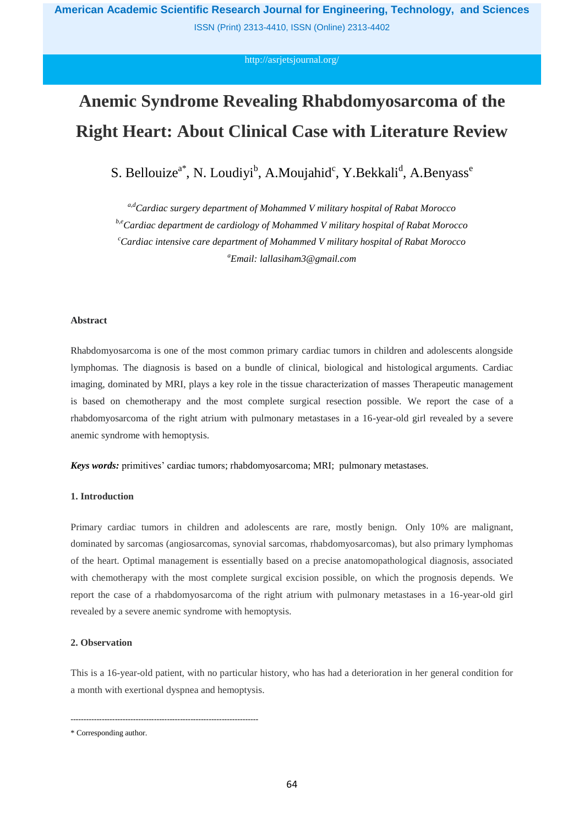ISSN (Print) 2313-4410, ISSN (Online) 2313-4402

## <http://asrjetsjournal.org/>

# **Anemic Syndrome Revealing Rhabdomyosarcoma of the Right Heart: About Clinical Case with Literature Review**

S. Bellouize<sup>a\*</sup>, N. Loudiyi<sup>b</sup>, A.Moujahid<sup>c</sup>, Y.Bekkali<sup>d</sup>, A.Benyass<sup>e</sup>

*a,dCardiac surgery department of Mohammed V military hospital of Rabat Morocco*

*b,eCardiac department de cardiology of Mohammed V military hospital of Rabat Morocco*

*<sup>c</sup>Cardiac intensive care department of Mohammed V military hospital of Rabat Morocco <sup>a</sup>Email: lallasiham3@gmail.com*

### **Abstract**

Rhabdomyosarcoma is one of the most common primary cardiac tumors in children and adolescents alongside lymphomas. The diagnosis is based on a bundle of clinical, biological and histological arguments. Cardiac imaging, dominated by MRI, plays a key role in the tissue characterization of masses Therapeutic management is based on chemotherapy and the most complete surgical resection possible. We report the case of a rhabdomyosarcoma of the right atrium with pulmonary metastases in a 16-year-old girl revealed by a severe anemic syndrome with hemoptysis.

*Keys words:* primitives' cardiac tumors; rhabdomyosarcoma; MRI; pulmonary metastases.

# **1. Introduction**

Primary cardiac tumors in children and adolescents are rare, mostly benign. Only 10% are malignant, dominated by sarcomas (angiosarcomas, synovial sarcomas, rhabdomyosarcomas), but also primary lymphomas of the heart. Optimal management is essentially based on a precise anatomopathological diagnosis, associated with chemotherapy with the most complete surgical excision possible, on which the prognosis depends. We report the case of a rhabdomyosarcoma of the right atrium with pulmonary metastases in a 16-year-old girl revealed by a severe anemic syndrome with hemoptysis.

#### **2. Observation**

This is a 16-year-old patient, with no particular history, who has had a deterioration in her general condition for a month with exertional dyspnea and hemoptysis.

------------------------------------------------------------------------

<sup>\*</sup> Corresponding author.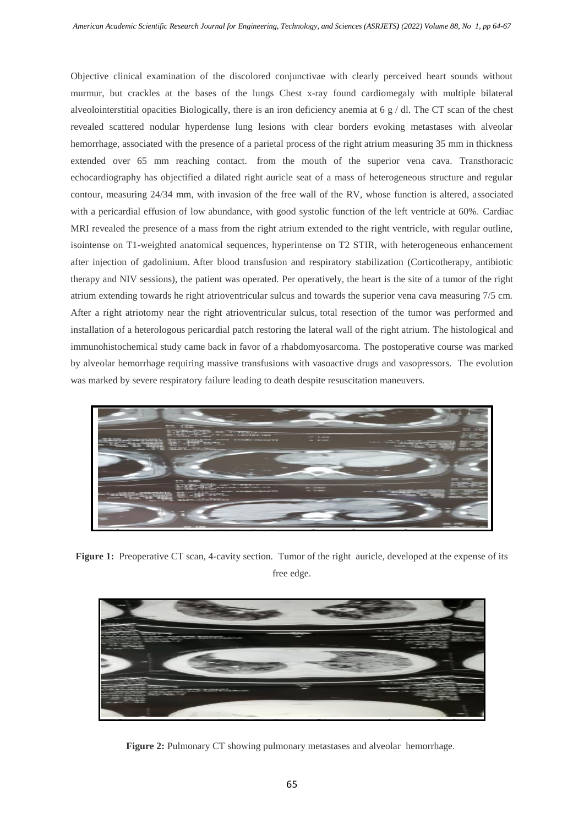Objective clinical examination of the discolored conjunctivae with clearly perceived heart sounds without murmur, but crackles at the bases of the lungs Chest x-ray found cardiomegaly with multiple bilateral alveolointerstitial opacities Biologically, there is an iron deficiency anemia at  $6 \text{ g } / \text{ dl}$ . The CT scan of the chest revealed scattered nodular hyperdense lung lesions with clear borders evoking metastases with alveolar hemorrhage, associated with the presence of a parietal process of the right atrium measuring 35 mm in thickness extended over 65 mm reaching contact. from the mouth of the superior vena cava. Transthoracic echocardiography has objectified a dilated right auricle seat of a mass of heterogeneous structure and regular contour, measuring 24/34 mm, with invasion of the free wall of the RV, whose function is altered, associated with a pericardial effusion of low abundance, with good systolic function of the left ventricle at 60%. Cardiac MRI revealed the presence of a mass from the right atrium extended to the right ventricle, with regular outline, isointense on T1-weighted anatomical sequences, hyperintense on T2 STIR, with heterogeneous enhancement after injection of gadolinium. After blood transfusion and respiratory stabilization (Corticotherapy, antibiotic therapy and NIV sessions), the patient was operated. Per operatively, the heart is the site of a tumor of the right atrium extending towards he right atrioventricular sulcus and towards the superior vena cava measuring 7/5 cm. After a right atriotomy near the right atrioventricular sulcus, total resection of the tumor was performed and installation of a heterologous pericardial patch restoring the lateral wall of the right atrium. The histological and immunohistochemical study came back in favor of a rhabdomyosarcoma. The postoperative course was marked by alveolar hemorrhage requiring massive transfusions with vasoactive drugs and vasopressors. The evolution was marked by severe respiratory failure leading to death despite resuscitation maneuvers.



**Figure 1:** Preoperative CT scan, 4-cavity section. Tumor of the right auricle, developed at the expense of its free edge.



Figure 2: Pulmonary CT showing pulmonary metastases and alveolar hemorrhage.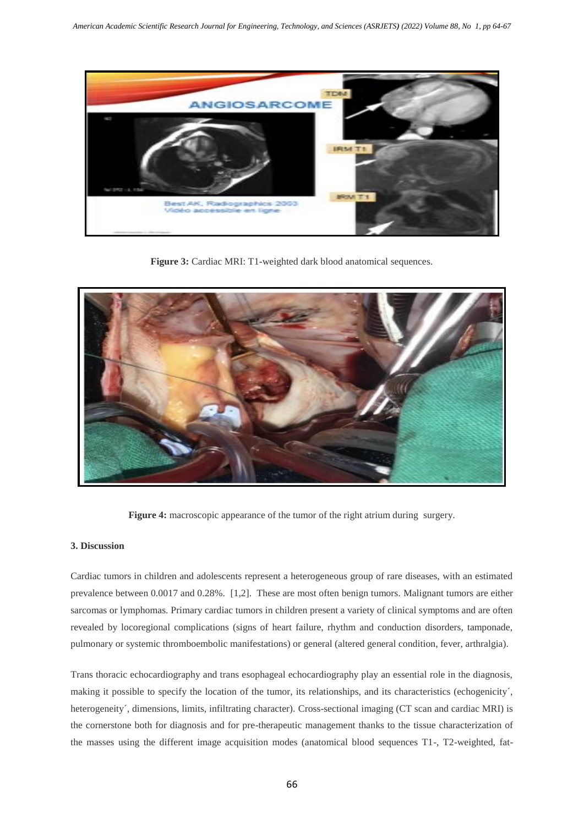

Figure 3: Cardiac MRI: T1-weighted dark blood anatomical sequences.



Figure 4: macroscopic appearance of the tumor of the right atrium during surgery.

# **3. Discussion**

Cardiac tumors in children and adolescents represent a heterogeneous group of rare diseases, with an estimated prevalence between 0.0017 and 0.28%. [1,2]. These are most often benign tumors. Malignant tumors are either sarcomas or lymphomas. Primary cardiac tumors in children present a variety of clinical symptoms and are often revealed by locoregional complications (signs of heart failure, rhythm and conduction disorders, tamponade, pulmonary or systemic thromboembolic manifestations) or general (altered general condition, fever, arthralgia).

Trans thoracic echocardiography and trans esophageal echocardiography play an essential role in the diagnosis, making it possible to specify the location of the tumor, its relationships, and its characteristics (echogenicity´, heterogeneity´, dimensions, limits, infiltrating character). Cross-sectional imaging (CT scan and cardiac MRI) is the cornerstone both for diagnosis and for pre-therapeutic management thanks to the tissue characterization of the masses using the different image acquisition modes (anatomical blood sequences T1-, T2-weighted, fat